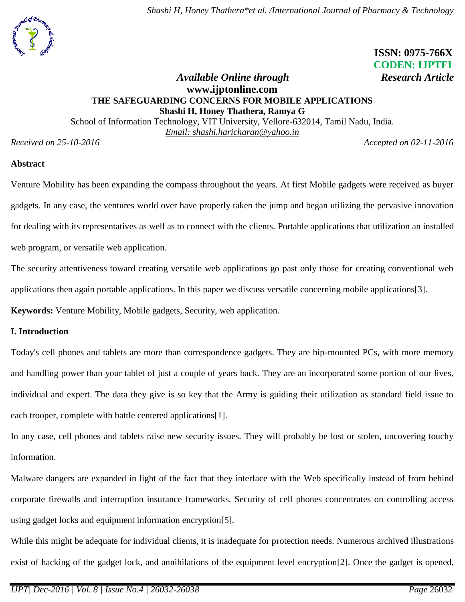*Shashi H, Honey Thathera\*et al. /International Journal of Pharmacy & Technology*

# **ISSN: 0975-766X CODEN: IJPTFI**

# *Available Online through Research Article* **[www.ijptonline.com](http://www.ijptonline.com/) THE SAFEGUARDING CONCERNS FOR MOBILE APPLICATIONS Shashi H, Honey Thathera, Ramya G**

School of Information Technology, VIT University, Vellore-632014, Tamil Nadu, India. *Email: shashi.haricharan@yahoo.in*

*Received on 25-10-2016 Accepted on 02-11-2016*

## **Abstract**

Venture Mobility has been expanding the compass throughout the years. At first Mobile gadgets were received as buyer gadgets. In any case, the ventures world over have properly taken the jump and began utilizing the pervasive innovation for dealing with its representatives as well as to connect with the clients. Portable applications that utilization an installed web program, or versatile web application.

The security attentiveness toward creating versatile web applications go past only those for creating conventional web applications then again portable applications. In this paper we discuss versatile concerning mobile applications[3].

**Keywords:** Venture Mobility, Mobile gadgets, Security, web application.

# **I. Introduction**

Today's cell phones and tablets are more than correspondence gadgets. They are hip-mounted PCs, with more memory and handling power than your tablet of just a couple of years back. They are an incorporated some portion of our lives, individual and expert. The data they give is so key that the Army is guiding their utilization as standard field issue to each trooper, complete with battle centered applications[1].

In any case, cell phones and tablets raise new security issues. They will probably be lost or stolen, uncovering touchy information.

Malware dangers are expanded in light of the fact that they interface with the Web specifically instead of from behind corporate firewalls and interruption insurance frameworks. Security of cell phones concentrates on controlling access using gadget locks and equipment information encryption[5].

While this might be adequate for individual clients, it is inadequate for protection needs. Numerous archived illustrations exist of hacking of the gadget lock, and annihilations of the equipment level encryption[2]. Once the gadget is opened,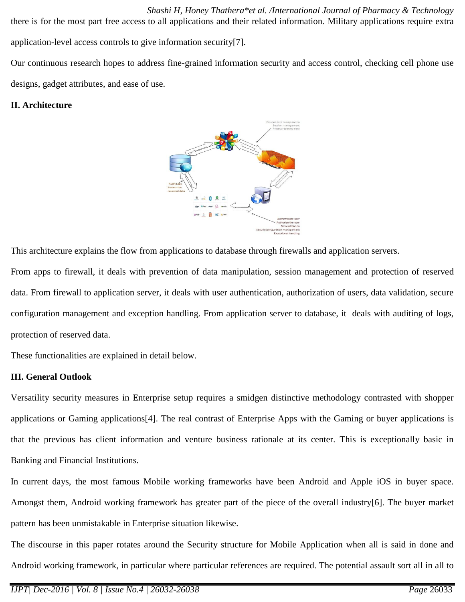*Shashi H, Honey Thathera\*et al. /International Journal of Pharmacy & Technology* there is for the most part free access to all applications and their related information. Military applications require extra application-level access controls to give information security[7]. Our continuous research hopes to address fine-grained information security and access control, checking cell phone use

designs, gadget attributes, and ease of use.

## **II. Architecture**



This architecture explains the flow from applications to database through firewalls and application servers.

From apps to firewall, it deals with prevention of data manipulation, session management and protection of reserved data. From firewall to application server, it deals with user authentication, authorization of users, data validation, secure configuration management and exception handling. From application server to database, it deals with auditing of logs, protection of reserved data.

These functionalities are explained in detail below.

## **III. General Outlook**

Versatility security measures in Enterprise setup requires a smidgen distinctive methodology contrasted with shopper applications or Gaming applications[4]. The real contrast of Enterprise Apps with the Gaming or buyer applications is that the previous has client information and venture business rationale at its center. This is exceptionally basic in Banking and Financial Institutions.

In current days, the most famous Mobile working frameworks have been Android and Apple iOS in buyer space. Amongst them, Android working framework has greater part of the piece of the overall industry[6]. The buyer market pattern has been unmistakable in Enterprise situation likewise.

The discourse in this paper rotates around the Security structure for Mobile Application when all is said in done and Android working framework, in particular where particular references are required. The potential assault sort all in all to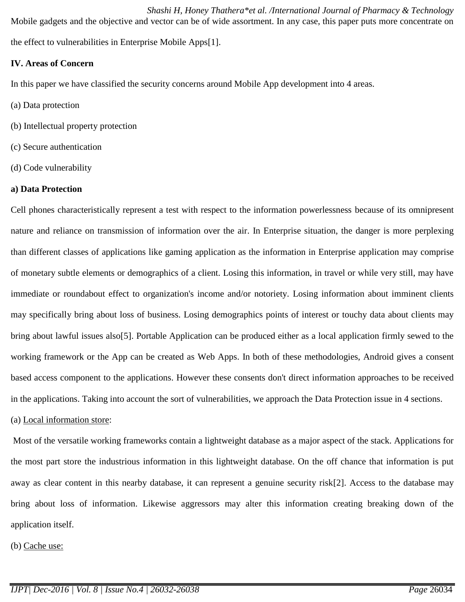*Shashi H, Honey Thathera\*et al. /International Journal of Pharmacy & Technology* Mobile gadgets and the objective and vector can be of wide assortment. In any case, this paper puts more concentrate on the effect to vulnerabilities in Enterprise Mobile Apps[1].

**IV. Areas of Concern**

In this paper we have classified the security concerns around Mobile App development into 4 areas.

- (a) Data protection
- (b) Intellectual property protection
- (c) Secure authentication
- (d) Code vulnerability

#### **a) Data Protection**

Cell phones characteristically represent a test with respect to the information powerlessness because of its omnipresent nature and reliance on transmission of information over the air. In Enterprise situation, the danger is more perplexing than different classes of applications like gaming application as the information in Enterprise application may comprise of monetary subtle elements or demographics of a client. Losing this information, in travel or while very still, may have immediate or roundabout effect to organization's income and/or notoriety. Losing information about imminent clients may specifically bring about loss of business. Losing demographics points of interest or touchy data about clients may bring about lawful issues also[5]. Portable Application can be produced either as a local application firmly sewed to the working framework or the App can be created as Web Apps. In both of these methodologies, Android gives a consent based access component to the applications. However these consents don't direct information approaches to be received in the applications. Taking into account the sort of vulnerabilities, we approach the Data Protection issue in 4 sections.

(a) Local information store:

Most of the versatile working frameworks contain a lightweight database as a major aspect of the stack. Applications for the most part store the industrious information in this lightweight database. On the off chance that information is put away as clear content in this nearby database, it can represent a genuine security risk[2]. Access to the database may bring about loss of information. Likewise aggressors may alter this information creating breaking down of the application itself.

(b) Cache use: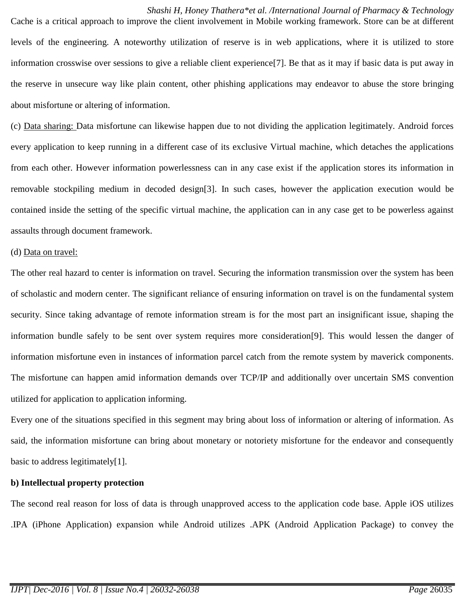*Shashi H, Honey Thathera\*et al. /International Journal of Pharmacy & Technology* Cache is a critical approach to improve the client involvement in Mobile working framework. Store can be at different levels of the engineering. A noteworthy utilization of reserve is in web applications, where it is utilized to store information crosswise over sessions to give a reliable client experience[7]. Be that as it may if basic data is put away in the reserve in unsecure way like plain content, other phishing applications may endeavor to abuse the store bringing about misfortune or altering of information.

(c) Data sharing: Data misfortune can likewise happen due to not dividing the application legitimately. Android forces every application to keep running in a different case of its exclusive Virtual machine, which detaches the applications from each other. However information powerlessness can in any case exist if the application stores its information in removable stockpiling medium in decoded design[3]. In such cases, however the application execution would be contained inside the setting of the specific virtual machine, the application can in any case get to be powerless against assaults through document framework.

#### (d) Data on travel:

The other real hazard to center is information on travel. Securing the information transmission over the system has been of scholastic and modern center. The significant reliance of ensuring information on travel is on the fundamental system security. Since taking advantage of remote information stream is for the most part an insignificant issue, shaping the information bundle safely to be sent over system requires more consideration[9]. This would lessen the danger of information misfortune even in instances of information parcel catch from the remote system by maverick components. The misfortune can happen amid information demands over TCP/IP and additionally over uncertain SMS convention utilized for application to application informing.

Every one of the situations specified in this segment may bring about loss of information or altering of information. As said, the information misfortune can bring about monetary or notoriety misfortune for the endeavor and consequently basic to address legitimately[1].

#### **b) Intellectual property protection**

The second real reason for loss of data is through unapproved access to the application code base. Apple iOS utilizes .IPA (iPhone Application) expansion while Android utilizes .APK (Android Application Package) to convey the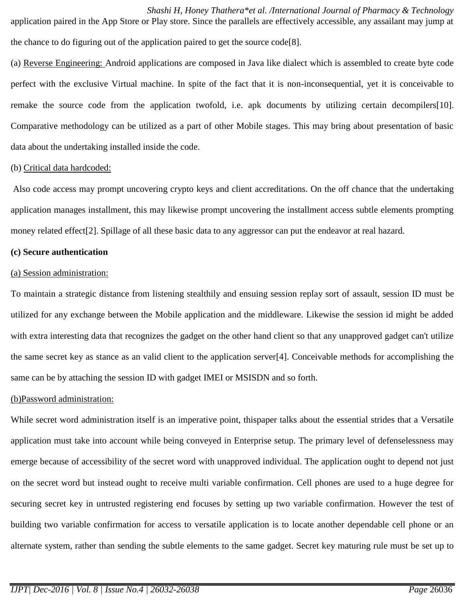*Shashi H, Honey Thathera\*et al. /International Journal of Pharmacy & Technology* application paired in the App Store or Play store. Since the parallels are effectively accessible, any assailant may jump at the chance to do figuring out of the application paired to get the source code[8].

(a) Reverse Engineering: Android applications are composed in Java like dialect which is assembled to create byte code perfect with the exclusive Virtual machine. In spite of the fact that it is non-inconsequential, yet it is conceivable to remake the source code from the application twofold, i.e. apk documents by utilizing certain decompilers[10]. Comparative methodology can be utilized as a part of other Mobile stages. This may bring about presentation of basic data about the undertaking installed inside the code.

## (b) Critical data hardcoded:

Also code access may prompt uncovering crypto keys and client accreditations. On the off chance that the undertaking application manages installment, this may likewise prompt uncovering the installment access subtle elements prompting money related effect[2]. Spillage of all these basic data to any aggressor can put the endeavor at real hazard.

#### **(c) Secure authentication**

#### (a) Session administration:

To maintain a strategic distance from listening stealthily and ensuing session replay sort of assault, session ID must be utilized for any exchange between the Mobile application and the middleware. Likewise the session id might be added with extra interesting data that recognizes the gadget on the other hand client so that any unapproved gadget can't utilize the same secret key as stance as an valid client to the application server[4]. Conceivable methods for accomplishing the same can be by attaching the session ID with gadget IMEI or MSISDN and so forth.

#### (b)Password administration:

While secret word administration itself is an imperative point, thispaper talks about the essential strides that a Versatile application must take into account while being conveyed in Enterprise setup. The primary level of defenselessness may emerge because of accessibility of the secret word with unapproved individual. The application ought to depend not just on the secret word but instead ought to receive multi variable confirmation. Cell phones are used to a huge degree for securing secret key in untrusted registering end focuses by setting up two variable confirmation. However the test of building two variable confirmation for access to versatile application is to locate another dependable cell phone or an alternate system, rather than sending the subtle elements to the same gadget. Secret key maturing rule must be set up to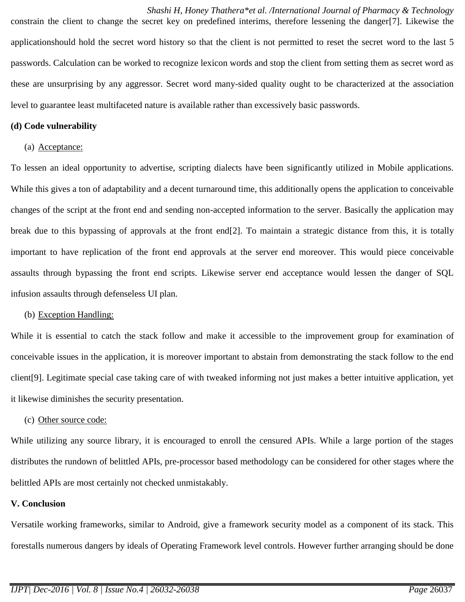*Shashi H, Honey Thathera\*et al. /International Journal of Pharmacy & Technology* constrain the client to change the secret key on predefined interims, therefore lessening the danger[7]. Likewise the applicationshould hold the secret word history so that the client is not permitted to reset the secret word to the last 5 passwords. Calculation can be worked to recognize lexicon words and stop the client from setting them as secret word as these are unsurprising by any aggressor. Secret word many-sided quality ought to be characterized at the association level to guarantee least multifaceted nature is available rather than excessively basic passwords.

#### **(d) Code vulnerability**

(a) Acceptance:

To lessen an ideal opportunity to advertise, scripting dialects have been significantly utilized in Mobile applications. While this gives a ton of adaptability and a decent turnaround time, this additionally opens the application to conceivable changes of the script at the front end and sending non-accepted information to the server. Basically the application may break due to this bypassing of approvals at the front end[2]. To maintain a strategic distance from this, it is totally important to have replication of the front end approvals at the server end moreover. This would piece conceivable assaults through bypassing the front end scripts. Likewise server end acceptance would lessen the danger of SQL infusion assaults through defenseless UI plan.

(b) Exception Handling:

While it is essential to catch the stack follow and make it accessible to the improvement group for examination of conceivable issues in the application, it is moreover important to abstain from demonstrating the stack follow to the end client[9]. Legitimate special case taking care of with tweaked informing not just makes a better intuitive application, yet it likewise diminishes the security presentation.

(c) Other source code:

While utilizing any source library, it is encouraged to enroll the censured APIs. While a large portion of the stages distributes the rundown of belittled APIs, pre-processor based methodology can be considered for other stages where the belittled APIs are most certainly not checked unmistakably.

#### **V. Conclusion**

Versatile working frameworks, similar to Android, give a framework security model as a component of its stack. This forestalls numerous dangers by ideals of Operating Framework level controls. However further arranging should be done